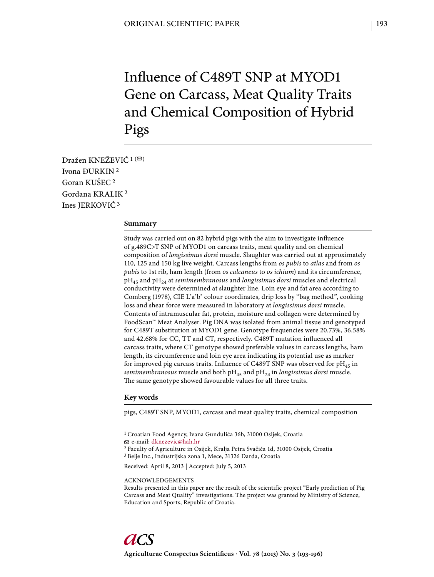# Influence of C489T SNP at MYOD1 Gene on Carcass, Meat Quality Traits and Chemical Composition of Hybrid Pigs

Dražen KNEŽEVIĆ  $1^{(\n\infty)}$ Ivona ĐURKIN 2 Goran KUŠEC 2 Gordana KRALIK 2 Ines JERKOVIĆ 3

## **Summary**

Study was carried out on 82 hybrid pigs with the aim to investigate influence of g.489C>T SNP of MYOD1 on carcass traits, meat quality and on chemical composition of *longissimus dorsi* muscle. Slaughter was carried out at approximately 110, 125 and 150 kg live weight. Carcass lengths from *os pubis* to *atlas* and from *os pubis* to 1st rib, ham length (from *os calcaneus* to *os ichium*) and its circumference, pH45 and pH24 at *semimembranosus* and *longissimus dorsi* muscles and electrical conductivity were determined at slaughter line. Loin eye and fat area according to Comberg (1978), CIE L\*a\*b\* colour coordinates, drip loss by "bag method", cooking loss and shear force were measured in laboratory at *longissimus dorsi* muscle. Contents of intramuscular fat, protein, moisture and collagen were determined by FoodScan™ Meat Analyser. Pig DNA was isolated from animal tissue and genotyped for C489T substitution at MYOD1 gene. Genotype frequencies were 20.73%, 36.58% and 42.68% for CC, TT and CT, respectively. C489T mutation influenced all carcass traits, where CT genotype showed preferable values in carcass lengths, ham length, its circumference and loin eye area indicating its potential use as marker for improved pig carcass traits. Influence of C489T SNP was observed for  $pH_{45}$  in *semimembranosus* muscle and both pH<sub>45</sub> and pH<sub>24</sub> in *longissimus dorsi* muscle. The same genotype showed favourable values for all three traits.

### **Key words**

pigs, C489T SNP, MYOD1, carcass and meat quality traits, chemical composition

2 Faculty of Agriculture in Osijek, Kralja Petra Svačića 1d, 31000 Osijek, Croatia 3 Belje Inc., Industrijska zona 1, Mece, 31326 Darda, Croatia

Received: April 8, 2013 | Accepted: July 5, 2013

### ACKNOWLEDGEMENTS

Results presented in this paper are the result of the scientific project "Early prediction of Pig Carcass and Meat Quality" investigations. The project was granted by Ministry of Science, Education and Sports, Republic of Croatia.

<sup>1</sup> Croatian Food Agency, Ivana Gundulića 36b, 31000 Osijek, Croatia e-mail: dknezevic@hah.hr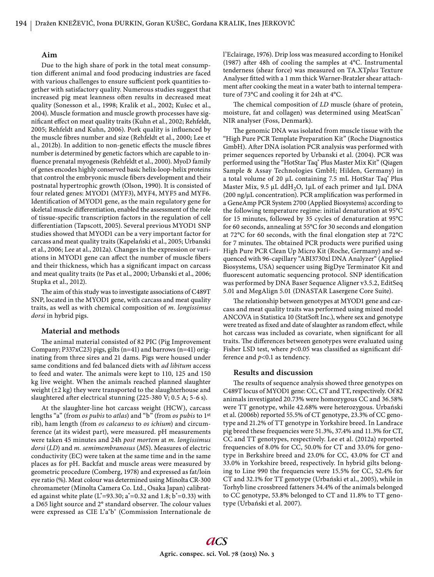# **Aim**

Due to the high share of pork in the total meat consumption different animal and food producing industries are faced with various challenges to ensure sufficient pork quantities together with satisfactory quality. Numerous studies suggest that increased pig meat leanness often results in decreased meat quality (Sonesson et al., 1998; Kralik et al., 2002; Kušec et al., 2004). Muscle formation and muscle growth processes have significant effect on meat quality traits (Kuhn et al., 2002; Rehfeldt, 2005; Rehfeldt and Kuhn, 2006). Pork quality is influenced by the muscle fibres number and size (Rehfeldt et al., 2000; Lee et al., 2012b). In addition to non-genetic effects the muscle fibres number is determined by genetic factors which are capable to influence prenatal myogenesis (Rehfeldt et al., 2000). MyoD family of genes encodes highly conserved basic helix-loop-helix proteins that control the embryonic muscle fibers development and their postnatal hypertrophic growth (Olson, 1990). It is consisted of four related genes: MYOD1 (MYF3), MYF4, MYF5 and MYF6. Identification of MYOD1 gene, as the main regulatory gene for skeletal muscle differentiation, enabled the assessment of the role of tissue-specific transcription factors in the regulation of cell differentiation (Tapscott, 2005). Several previous MYOD1 SNP studies showed that MYOD1 can be a very important factor for carcass and meat quality traits (Kapelański et al., 2005; Urbanski et al., 2006; Lee at al., 2012a). Changes in the expression or variations in MYOD1 gene can affect the number of muscle fibers and their thickness, which has a significant impact on carcass and meat quality traits (te Pas et al., 2000; Urbanski et al., 2006; Stupka et al., 2012).

The aim of this study was to investigate associations of C489T SNP, located in the MYOD1 gene, with carcass and meat quality traits, as well as with chemical composition of *m. longissimus dorsi* in hybrid pigs.

## **Material and methods**

The animal material consisted of 82 PIC (Pig Improvement Company; P337xC23) pigs, gilts (n=41) and barrows (n=41) originating from three sires and 21 dams. Pigs were housed under same conditions and fed balanced diets with *ad libitum* access to feed and water. The animals were kept to 110, 125 and 150 kg live weight. When the animals reached planned slaughter weight (±2 kg) they were transported to the slaughterhouse and slaughtered after electrical stunning (225-380 V; 0.5 A; 5-6 s).

At the slaughter-line hot carcass weight (HCW), carcass lengths "a" (from *os pubis* to *atlas*) and "b" (from *os pubis* to 1st rib), ham length (from *os calcaneus* to *os ichium*) and circumference (at its widest part), were measured. pH measurements were taken 45 minutes and 24h *post mortem* at *m. longissimus dorsi* (*LD*) and *m. semimembranosus* (*MS*). Measures of electric conductivity (EC) were taken at the same time and in the same places as for pH. Backfat and muscle areas were measured by geometric procedure (Comberg, 1978) and expressed as fat/loin eye ratio (%). Meat colour was determined using Minolta CR-300 chromameter (Minolta Camera Co. Ltd., Osaka Japan) calibrated against white plate ( $L^*=93.30$ ; a<sup>\*</sup>=0.32 and 1.8; b<sup>\*</sup>=0.33) with a D65 light source and 2° standard observer. The colour values were expressed as CIE L\*a\*b\* (Commission Internationale de l'Eclairage, 1976). Drip loss was measured according to Honikel (1987) after 48h of cooling the samples at  $4^{\circ}$ C. Instrumental tenderness (shear force) was measured on TA.XT*plus* Texture Analyser fitted with a 1 mm thick Warner-Bratzler shear attachment after cooking the meat in a water bath to internal temperature of 73°C and cooling it for 24h at 4°C.

The chemical composition of *LD* muscle (share of protein, moisture, fat and collagen) was determined using MeatScan™ NIR analyser (Foss, Denmark).

The genomic DNA was isolated from muscle tissue with the "High Pure PCR Template Preparation Kit" (Roche Diagnostics GmbH). After DNA isolation PCR analysis was performed with primer sequences reported by Urbanski et al. (2004). PCR was performed using the "HotStar Taq<sup>®</sup> Plus Master Mix Kit" (Qiagen Sample & Assay Technologies GmbH; Hilden, Germany) in a total volume of 20 μL containing 7.5 mL HotStar Taq<sup>®</sup> Plus Master Mix,  $9.5 \mu L$  ddH<sub>2</sub>O, 1 $\mu$ L of each primer and 1 $\mu$ L DNA (200 ng/ $\mu$ L concentration). PCR amplification was performed in a GeneAmp PCR System 2700 (Applied Biosystems) according to the following temperature regime: initial denaturation at 95°C for 15 minutes, followed by 35 cycles of denaturation at 95°C for 60 seconds, annealing at 55°C for 30 seconds and elongation at 72 $^{\circ}$ C for 60 seconds, with the final elongation step at 72 $^{\circ}$ C for 7 minutes. The obtained PCR products were purified using High Pure PCR Clean Up Micro Kit (Roche, Germany) and sequenced with 96-capillary "ABI3730xl DNA Analyzer" (Applied Biosystems, USA) sequencer using BigDye Terminator Kit and fluorescent automatic sequencing protocol. SNP identification was performed by DNA Baser Sequence Aligner v3.5.2, EditSeq 5.01 and MegAlign 5.01 (DNASTAR Lasergene Core Suite).

The relationship between genotypes at MYOD1 gene and carcass and meat quality traits was performed using mixed model ANCOVA in Statistica 10 (StatSoft Inc.), where sex and genotype were treated as fixed and date of slaughter as random effect, while hot carcass was included as covariate, when significant for all traits. The differences between genotypes were evaluated using Fisher LSD test, where  $p<0.05$  was classified as significant difference and *p*<0.1 as tendency.

## **Results and discussion**

The results of sequence analysis showed three genotypes on C489T locus of MYOD1 gene: CC, CT and TT, respectively. Of 82 animals investigated 20.73% were homozygous CC and 36.58% were TT genotype, while 42.68% were heterozygous. Urbański et al. (2006b) reported 55.5% of CT genotype, 23.3% of CC genotype and 21.2% of TT genotype in Yorkshire breed. In Landrace pig breed these frequencies were 51.3%, 37.4% and 11.3% for CT, CC and TT genotypes, respectively. Lee et al. (2012a) reported frequencies of 8.0% for CC, 50.0% for CT and 33.0% for genotype in Berkshire breed and 23.0% for CC, 43.0% for CT and 33.0% in Yorkshire breed, respectively. In hybrid gilts belonging to Line 990 the frequencies were 15.5% for CC, 52.4% for CT and 32.1% for TT genotype (Urbański et al., 2005), while in Torhyb line crossbreed fatteners 34.4% of the animals belonged to CC genotype, 53.8% belonged to CT and 11.8% to TT genotype (Urbański et al. 2007).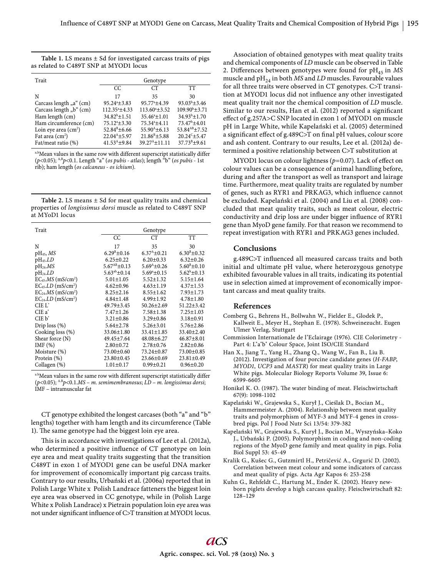|                                        |  | Table 1. LS means $\pm$ Sd for investigated carcass traits of pigs |  |  |
|----------------------------------------|--|--------------------------------------------------------------------|--|--|
| as related to C489T SNP at MYOD1 locus |  |                                                                    |  |  |

| Trait                   | Genotype                   |                           |                           |  |
|-------------------------|----------------------------|---------------------------|---------------------------|--|
|                         | CC.                        | CТ                        | TТ                        |  |
| N                       | 17                         | 35                        | 30                        |  |
| Carcass length "a" (cm) | $95.24^{\circ} \pm 3.83$   | $95.77^{\circ}$ ±4.39     | $93.03^{b} \pm 3.46$      |  |
| Carcass length "b" (cm) | $112.35^{\circ}$ ± 4.33    | $113.60^a \pm 3.52$       | $109.90^{\rm b} \pm 3.71$ |  |
| Ham length (cm)         | $34.82^b \pm 1.51$         | $35.46^a \pm 1.01$        | $34.93b + 1.70$           |  |
| Ham circumference (cm)  | $75.12^{\circ} \pm 3.30$   | $75.34^a \pm 4.11$        | $73.47^b \pm 4.01$        |  |
| Loin eye area $(cm2)$   | $52.84^{\text{B}}\pm 6.66$ | $55.90^{\text{A}}\pm6.13$ | $53.84^{AB} \pm 7.52$     |  |
| Fat area $(cm2)$        | $22.04^{A} \pm 5.97$       | $21.86^{\text{B}}\pm5.88$ | $20.24^c\pm 5.47$         |  |
| Fat/meat ratio (%)      | $41.53^{A}$ ±9.84          | $39.27^{A} + 11.11$       | $37.73^{B}+9.61$          |  |

a,bMean values in the same row with different superscript statistically differ (*p*<0.05); A,B*p*<0.1. Length "a" (*os pubis - atlas*); length "b" (*os pubis* - 1st rib); ham length (*os calcaneus* - *os ichium*).

| Table 2. LS means $\pm$ Sd for meat quality traits and chemical |
|-----------------------------------------------------------------|
| properties of longissimus dorsi muscle as related to C489T SNP  |
| at MYoD1 locus                                                  |

| Trait                                  | Genotype              |                      |                       |  |
|----------------------------------------|-----------------------|----------------------|-----------------------|--|
|                                        | CC.                   | <b>CT</b>            | <b>TT</b>             |  |
| N                                      | 17                    | 35                   | 30                    |  |
| $pH_{45}$ , MS                         | $6.29^{\rm B} + 0.16$ | $6.37^{A} \pm 0.21$  | $6.30^{\rm B} + 0.32$ |  |
| $pH_{45}LD$                            | $6.25 \pm 0.22$       | $6.20 \pm 0.33$      | $6.32 \pm 0.26$       |  |
| $pH24$ .MS                             | $5.67^{AB}$ + 0.13    | $5.69A + 0.26$       | $5.60^{\rm B}$ ± 0.10 |  |
| $pH_{24}.LD$                           | $5.63^{ab}$ ± 0.14    | $5.69^{\circ}$ ±0.15 | $5.62^b \pm 0.13$     |  |
| $EC_{45}$ .MS (mS/cm <sup>2</sup> )    | $5.01 \pm 1.05$       | $5.52 \pm 1.32$      | $5.15 \pm 1.64$       |  |
| $EC_{45}$ , $LD$ (mS/cm <sup>2</sup> ) | $4.62 \pm 0.96$       | $4.63 \pm 1.19$      | $4.37 \pm 1.53$       |  |
| $EC24.MS$ (mS/cm <sup>2</sup> )        | $8.25 \pm 2.16$       | $8.55 \pm 1.62$      | $7.93 \pm 1.73$       |  |
| $EC24.LD (mS/cm2)$                     | $4.84 \pm 1.48$       | $4.99 \pm 1.92$      | $4.78 \pm 1.80$       |  |
| $CIEL^*$                               | $49.79 \pm 3.45$      | $50.26 \pm 2.69$     | $51.22 \pm 3.42$      |  |
| $CIEa^*$                               | $7.47 \pm 1.26$       | $7.58 \pm 1.38$      | $7.25 \pm 1.03$       |  |
| $CIE b^*$                              | $3.21 \pm 0.86$       | $3.29 \pm 0.86$      | $3.18 \pm 0.91$       |  |
| Drip $loss(%)$                         | $5.64 \pm 2.78$       | $5.26 \pm 3.01$      | $5.76 \pm 2.86$       |  |
| Cooking loss (%)                       | 33.06±1.80            | $33.41 \pm 1.85$     | $33.40 \pm 2.40$      |  |
| Shear force (N)                        | 49.45±7.64            | $48.08 \pm 6.27$     | $46.87 \pm 8.01$      |  |
| IMF $(\%)$                             | $2.80 \pm 0.72$       | $2.78 \pm 0.76$      | $2.82 \pm 0.86$       |  |
| Moisture (%)                           | 73.00±0.60            | 73.24±0.87           | 73.00±0.85            |  |
| Protein $(\%)$                         | $23.80 \pm 0.45$      | $23.66 \pm 0.69$     | $23.81 \pm 0.49$      |  |
| Collagen (%)                           | $1.01 \pm 0.17$       | $0.99 \pm 0.21$      | $0.96 \pm 0.20$       |  |

a.bMean values in the same row with different superscript statistically differ (*p*<0.05); A.B*p*<0.1.*MS* – *m. semimembranosus*; *LD* – *m. longissimus dorsi*; IMF – intramuscular fat

CT genotype exhibited the longest carcases (both "a" and "b" lengths) together with ham length and its circumference (Table 1). The same genotype had the biggest loin eye area.

This is in accordance with investigations of Lee et al. (2012a), who determined a positive influence of CT genotype on loin eye area and meat quality traits suggesting that the transition C489T in exon 1 of MYOD1 gene can be useful DNA marker for improvement of economically important pig carcass traits. Contrary to our results, Urbański et al. (2006a) reported that in Polish Large White x Polish Landrace fatteners the biggest loin eye area was observed in CC genotype, while in (Polish Large White x Polish Landrace) x Pietrain population loin eye area was not under significant influence of C>T transition at MYOD1 locus.

Association of obtained genotypes with meat quality traits and chemical components of *LD* muscle can be observed in Table 2. Differences between genotypes were found for  $pH_{45}$  in *MS* muscle and  $pH_{24}$  in both *MS* and *LD* muscles. Favourable values for all three traits were observed in CT genotypes. C>T transition at MYOD1 locus did not influence any other investigated meat quality trait nor the chemical composition of *LD* muscle. Similar to our results, Han et al. (2012) reported a significant effect of g.257A>C SNP located in exon 1 of MYOD1 on muscle pH in Large White, while Kapelański et al. (2005) determined a significant effect of g.489C>T on final pH values, colour score and ash content. Contrary to our results, Lee et al. (2012a) determined a positive relationship between C>T substitution at

MYOD1 locus on colour lightness  $(p=0.07)$ . Lack of effect on colour values can be a consequence of animal handling before, during and after the transport as well as transport and lairage time. Furthermore, meat quality traits are regulated by number of genes, such as RYR1 and PRKAG3, which influence cannot be excluded. Kapelański et al. (2004) and Liu et al. (2008) concluded that meat quality traits, such as meat colour, electric conductivity and drip loss are under bigger influence of RYR1 gene than MyoD gene family. For that reason we recommend to repeat investigation with RYR1 and PRKAG3 genes included.

# **Conclusions**

g.489C>T influenced all measured carcass traits and both initial and ultimate pH value, where heterozygous genotype exhibited favourable values in all traits, indicating its potential use in selection aimed at improvement of economically important carcass and meat quality traits.

#### **References**

- Comberg G., Behrens H., Bollwahn W., Fielder E., Glodek P., Kallweit E., Meyer H., Stephan E. (1978). Schweinezucht. Eugen Ulmer Verlag, Stuttgart
- Commission Internationale de l'Eclairage (1976). CIE Colorimetry Part 4: L\*a\*b\* Colour Space, Joint ISO/CIE Standard
- Han X., Jiang T., Yang H., Zhang Q., Wang W., Fan B., Liu B. (2012). Investigation of four porcine candidate genes (*H*-*FABP*, *MYOD1*, *UCP3* and *MASTR*) for meat quality traits in Large White pigs. Molecular Biology Reports Volume 39, Issue 6: 6599-6605
- Honikel K. O. (1987). The water binding of meat. Fleischwirtschaft 67(9): 1098-1102
- Kapelański W., Grajewska S., Kurył J., Cieślak D., Bocian M., Hammermeister A. (2004). Relationship between meat quality traits and polymorphism of MYF-3 and MYF-4 genes in crossbred pigs. Pol J Food Nutr Sci 13/54: 379-382
- Kapelański W., Grajewska S., Kurył J., Bocian M., Wyszyńska–Koko J., Urbański P. (2005). Polymorphism in coding and non-coding regions of the MyoD gene family and meat quality in pigs. Folia Biol Suppl 53: 45-49
- Kralik G., Kušec G., Gutzmirtl H., Petričević A., Grgurić D. (2002). Correlation between meat colour and some indicators of carcass and meat quality of pigs. Acta Agr Kapos 6: 253-258
- Kuhn G., Rehfeldt C., Hartung M., Ender K. (2002). Heavy newborn piglets develop a high carcass quality. Fleischwirtschaft 82: 128–129